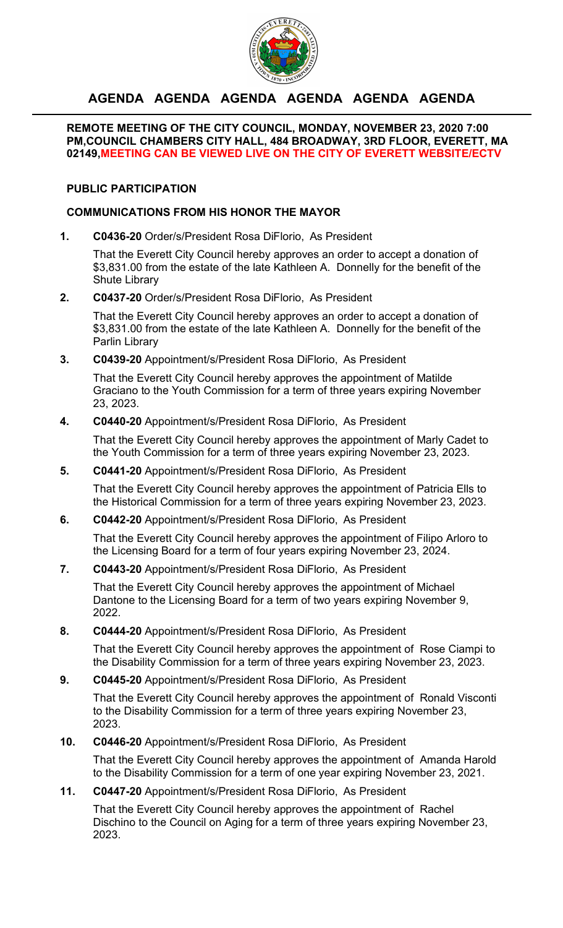

# **AGENDA AGENDA AGENDA AGENDA AGENDA AGENDA**

#### **REMOTE MEETING OF THE CITY COUNCIL, MONDAY, NOVEMBER 23, 2020 7:00 PM,COUNCIL CHAMBERS CITY HALL, 484 BROADWAY, 3RD FLOOR, EVERETT, MA 02149,MEETING CAN BE VIEWED LIVE ON THE CITY OF EVERETT WEBSITE/ECTV**

## **PUBLIC PARTICIPATION**

### **COMMUNICATIONS FROM HIS HONOR THE MAYOR**

**1. C0436-20** Order/s/President Rosa DiFlorio, As President

That the Everett City Council hereby approves an order to accept a donation of \$3,831.00 from the estate of the late Kathleen A. Donnelly for the benefit of the Shute Library

### **2. C0437-20** Order/s/President Rosa DiFlorio, As President

That the Everett City Council hereby approves an order to accept a donation of \$3,831.00 from the estate of the late Kathleen A. Donnelly for the benefit of the Parlin Library

## **3. C0439-20** Appointment/s/President Rosa DiFlorio, As President

That the Everett City Council hereby approves the appointment of Matilde Graciano to the Youth Commission for a term of three years expiring November 23, 2023.

### **4. C0440-20** Appointment/s/President Rosa DiFlorio, As President

That the Everett City Council hereby approves the appointment of Marly Cadet to the Youth Commission for a term of three years expiring November 23, 2023.

# **5. C0441-20** Appointment/s/President Rosa DiFlorio, As President

That the Everett City Council hereby approves the appointment of Patricia Ells to the Historical Commission for a term of three years expiring November 23, 2023.

# **6. C0442-20** Appointment/s/President Rosa DiFlorio, As President

That the Everett City Council hereby approves the appointment of Filipo Arloro to the Licensing Board for a term of four years expiring November 23, 2024.

**7. C0443-20** Appointment/s/President Rosa DiFlorio, As President

That the Everett City Council hereby approves the appointment of Michael Dantone to the Licensing Board for a term of two years expiring November 9, 2022.

#### **8. C0444-20** Appointment/s/President Rosa DiFlorio, As President

That the Everett City Council hereby approves the appointment of Rose Ciampi to the Disability Commission for a term of three years expiring November 23, 2023.

### **9. C0445-20** Appointment/s/President Rosa DiFlorio, As President

That the Everett City Council hereby approves the appointment of Ronald Visconti to the Disability Commission for a term of three years expiring November 23, 2023.

#### **10. C0446-20** Appointment/s/President Rosa DiFlorio, As President

That the Everett City Council hereby approves the appointment of Amanda Harold to the Disability Commission for a term of one year expiring November 23, 2021.

#### **11. C0447-20** Appointment/s/President Rosa DiFlorio, As President

That the Everett City Council hereby approves the appointment of Rachel Dischino to the Council on Aging for a term of three years expiring November 23, 2023.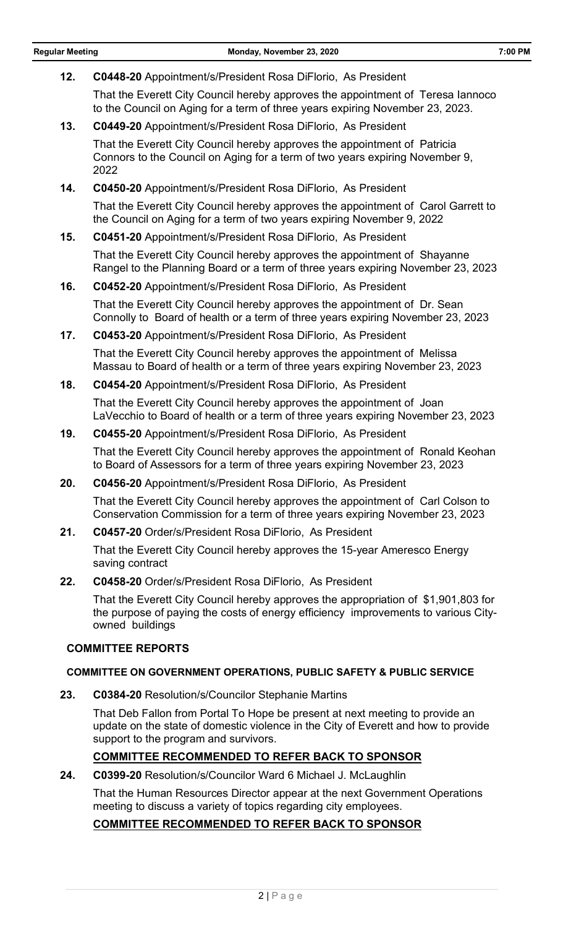**12. C0448-20** Appointment/s/President Rosa DiFlorio, As President That the Everett City Council hereby approves the appointment of Teresa Iannoco to the Council on Aging for a term of three years expiring November 23, 2023. **13. C0449-20** Appointment/s/President Rosa DiFlorio, As President That the Everett City Council hereby approves the appointment of Patricia Connors to the Council on Aging for a term of two years expiring November 9, 2022 **14. C0450-20** Appointment/s/President Rosa DiFlorio, As President That the Everett City Council hereby approves the appointment of Carol Garrett to the Council on Aging for a term of two years expiring November 9, 2022 **15. C0451-20** Appointment/s/President Rosa DiFlorio, As President That the Everett City Council hereby approves the appointment of Shayanne Rangel to the Planning Board or a term of three years expiring November 23, 2023 **16. C0452-20** Appointment/s/President Rosa DiFlorio, As President That the Everett City Council hereby approves the appointment of Dr. Sean Connolly to Board of health or a term of three years expiring November 23, 2023 **17. C0453-20** Appointment/s/President Rosa DiFlorio, As President That the Everett City Council hereby approves the appointment of Melissa Massau to Board of health or a term of three years expiring November 23, 2023 **18. C0454-20** Appointment/s/President Rosa DiFlorio, As President That the Everett City Council hereby approves the appointment of Joan LaVecchio to Board of health or a term of three years expiring November 23, 2023 **19. C0455-20** Appointment/s/President Rosa DiFlorio, As President That the Everett City Council hereby approves the appointment of Ronald Keohan to Board of Assessors for a term of three years expiring November 23, 2023 **20. C0456-20** Appointment/s/President Rosa DiFlorio, As President That the Everett City Council hereby approves the appointment of Carl Colson to Conservation Commission for a term of three years expiring November 23, 2023 **21. C0457-20** Order/s/President Rosa DiFlorio, As President That the Everett City Council hereby approves the 15-year Ameresco Energy saving contract **22. C0458-20** Order/s/President Rosa DiFlorio, As President That the Everett City Council hereby approves the appropriation of \$1,901,803 for the purpose of paying the costs of energy efficiency improvements to various Cityowned buildings **COMMITTEE REPORTS COMMITTEE ON GOVERNMENT OPERATIONS, PUBLIC SAFETY & PUBLIC SERVICE 23. C0384-20** Resolution/s/Councilor Stephanie Martins That Deb Fallon from Portal To Hope be present at next meeting to provide an update on the state of domestic violence in the City of Everett and how to provide support to the program and survivors. **COMMITTEE RECOMMENDED TO REFER BACK TO SPONSOR 24. C0399-20** Resolution/s/Councilor Ward 6 Michael J. McLaughlin That the Human Resources Director appear at the next Government Operations meeting to discuss a variety of topics regarding city employees. **COMMITTEE RECOMMENDED TO REFER BACK TO SPONSOR**

#### $2|P$ age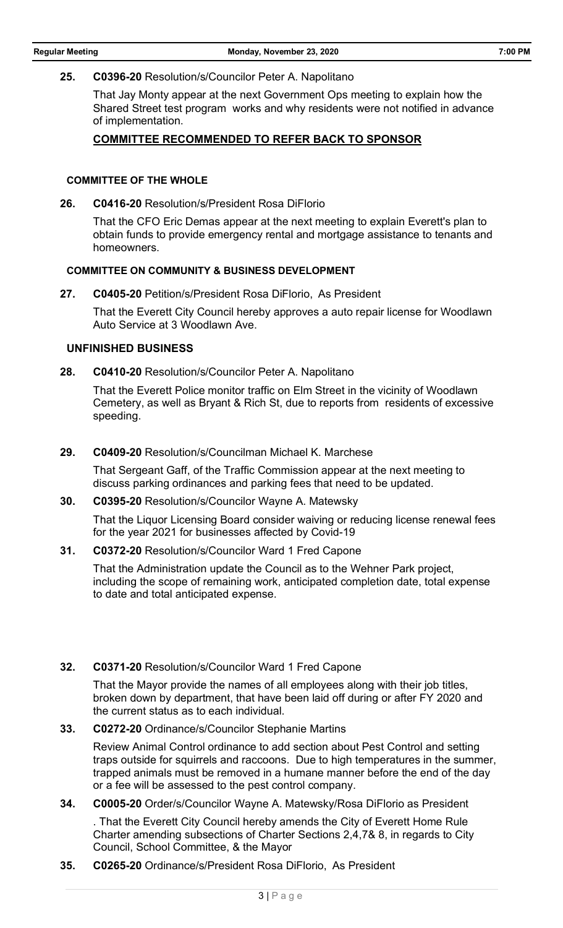#### **25. C0396-20** Resolution/s/Councilor Peter A. Napolitano

That Jay Monty appear at the next Government Ops meeting to explain how the Shared Street test program works and why residents were not notified in advance of implementation.

#### **COMMITTEE RECOMMENDED TO REFER BACK TO SPONSOR**

#### **COMMITTEE OF THE WHOLE**

**26. C0416-20** Resolution/s/President Rosa DiFlorio

That the CFO Eric Demas appear at the next meeting to explain Everett's plan to obtain funds to provide emergency rental and mortgage assistance to tenants and homeowners.

#### **COMMITTEE ON COMMUNITY & BUSINESS DEVELOPMENT**

**27. C0405-20** Petition/s/President Rosa DiFlorio, As President

That the Everett City Council hereby approves a auto repair license for Woodlawn Auto Service at 3 Woodlawn Ave.

#### **UNFINISHED BUSINESS**

**28. C0410-20** Resolution/s/Councilor Peter A. Napolitano

That the Everett Police monitor traffic on Elm Street in the vicinity of Woodlawn Cemetery, as well as Bryant & Rich St, due to reports from residents of excessive speeding.

#### **29. C0409-20** Resolution/s/Councilman Michael K. Marchese

That Sergeant Gaff, of the Traffic Commission appear at the next meeting to discuss parking ordinances and parking fees that need to be updated.

#### **30. C0395-20** Resolution/s/Councilor Wayne A. Matewsky

That the Liquor Licensing Board consider waiving or reducing license renewal fees for the year 2021 for businesses affected by Covid-19

#### **31. C0372-20** Resolution/s/Councilor Ward 1 Fred Capone

That the Administration update the Council as to the Wehner Park project, including the scope of remaining work, anticipated completion date, total expense to date and total anticipated expense.

### **32. C0371-20** Resolution/s/Councilor Ward 1 Fred Capone

That the Mayor provide the names of all employees along with their job titles, broken down by department, that have been laid off during or after FY 2020 and the current status as to each individual.

#### **33. C0272-20** Ordinance/s/Councilor Stephanie Martins

Review Animal Control ordinance to add section about Pest Control and setting traps outside for squirrels and raccoons. Due to high temperatures in the summer, trapped animals must be removed in a humane manner before the end of the day or a fee will be assessed to the pest control company.

#### **34. C0005-20** Order/s/Councilor Wayne A. Matewsky/Rosa DiFlorio as President

. That the Everett City Council hereby amends the City of Everett Home Rule Charter amending subsections of Charter Sections 2,4,7& 8, in regards to City Council, School Committee, & the Mayor

**35. C0265-20** Ordinance/s/President Rosa DiFlorio, As President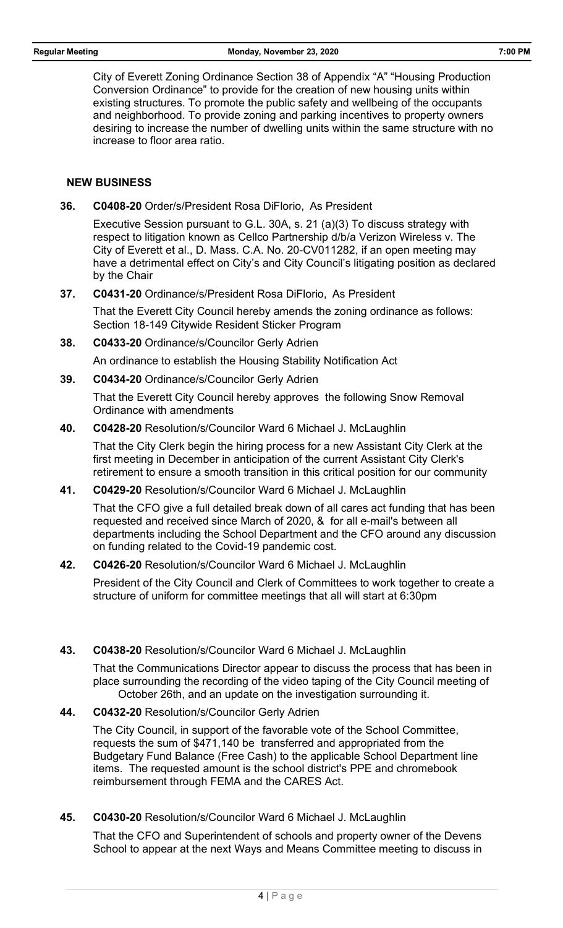City of Everett Zoning Ordinance Section 38 of Appendix "A" "Housing Production Conversion Ordinance" to provide for the creation of new housing units within existing structures. To promote the public safety and wellbeing of the occupants and neighborhood. To provide zoning and parking incentives to property owners desiring to increase the number of dwelling units within the same structure with no increase to floor area ratio.

#### **NEW BUSINESS**

**36. C0408-20** Order/s/President Rosa DiFlorio, As President

Executive Session pursuant to G.L. 30A, s. 21 (a)(3) To discuss strategy with respect to litigation known as Cellco Partnership d/b/a Verizon Wireless v. The City of Everett et al., D. Mass. C.A. No. 20-CV011282, if an open meeting may have a detrimental effect on City's and City Council's litigating position as declared by the Chair

**37. C0431-20** Ordinance/s/President Rosa DiFlorio, As President

That the Everett City Council hereby amends the zoning ordinance as follows: Section 18-149 Citywide Resident Sticker Program

**38. C0433-20** Ordinance/s/Councilor Gerly Adrien

An ordinance to establish the Housing Stability Notification Act

**39. C0434-20** Ordinance/s/Councilor Gerly Adrien

That the Everett City Council hereby approves the following Snow Removal Ordinance with amendments

**40. C0428-20** Resolution/s/Councilor Ward 6 Michael J. McLaughlin

That the City Clerk begin the hiring process for a new Assistant City Clerk at the first meeting in December in anticipation of the current Assistant City Clerk's retirement to ensure a smooth transition in this critical position for our community

**41. C0429-20** Resolution/s/Councilor Ward 6 Michael J. McLaughlin

That the CFO give a full detailed break down of all cares act funding that has been requested and received since March of 2020, & for all e-mail's between all departments including the School Department and the CFO around any discussion on funding related to the Covid-19 pandemic cost.

**42. C0426-20** Resolution/s/Councilor Ward 6 Michael J. McLaughlin

President of the City Council and Clerk of Committees to work together to create a structure of uniform for committee meetings that all will start at 6:30pm

**43. C0438-20** Resolution/s/Councilor Ward 6 Michael J. McLaughlin

That the Communications Director appear to discuss the process that has been in place surrounding the recording of the video taping of the City Council meeting of October 26th, and an update on the investigation surrounding it.

**44. C0432-20** Resolution/s/Councilor Gerly Adrien

The City Council, in support of the favorable vote of the School Committee, requests the sum of \$471,140 be transferred and appropriated from the Budgetary Fund Balance (Free Cash) to the applicable School Department line items. The requested amount is the school district's PPE and chromebook reimbursement through FEMA and the CARES Act.

**45. C0430-20** Resolution/s/Councilor Ward 6 Michael J. McLaughlin

That the CFO and Superintendent of schools and property owner of the Devens School to appear at the next Ways and Means Committee meeting to discuss in